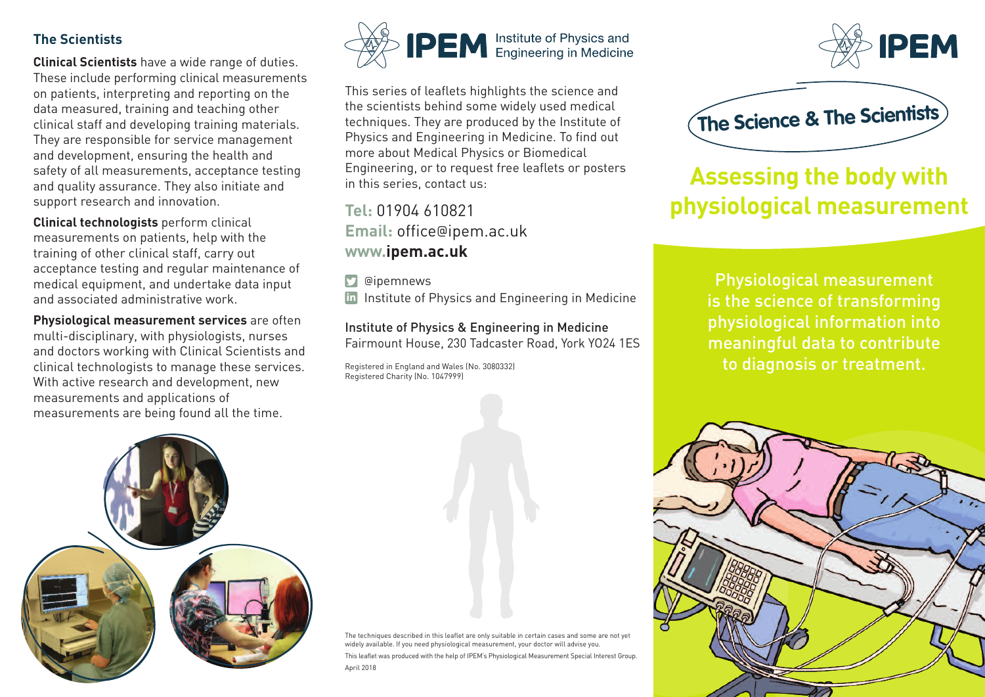## **The Scientists**

**Clinical Scientists** have a wide range of duties. These include performing clinical measurements on patients, interpreting and reporting on the data measured, training and teaching other clinical staff and developing training materials. They are responsible for service management and development, ensuring the health and safety of all measurements, acceptance testing and quality assurance. They also initiate and support research and innovation.

**Clinical technologists** perform clinical measurements on patients, help with the training of other clinical staff, carry out acceptance testing and regular maintenance of medical equipment, and undertake data input and associated administrative work.

**Physiological measurement services** are often multi-disciplinary, with physiologists, nurses and doctors working with Clinical Scientists and clinical technologists to manage these services. With active research and development, new measurements and applications of measurements are being found all the time.





This series of leaflets highlights the science and the scientists behind some widely used medical techniques. They are produced by the Institute of Physics and Engineering in Medicine. To find out more about Medical Physics or Biomedical Engineering, or to request free leaflets or posters in this series, contact us:

**Tel:** 01904 610821 **Email:** office@ipem.ac.uk **www.ipem.ac.uk**

**D** @ipemnews

in Institute of Physics and Engineering in Medicine

Institute of Physics & Engineering in Medicine Fairmount House, 230 Tadcaster Road, York YO24 1ES

Registered in England and Wales (No. 3080332) Registered Charity (No. 1047999)





## **Assessing the body with physiological measurement**

Physiological measurement is the science of transforming physiological information into meaningful data to contribute to diagnosis or treatment.



The techniques described in this leaflet are only suitable in certain cases and some are not yet widely available. If you need physiological measurement, your doctor will advise you. This leaflet was produced with the help of IPEM's Physiological Measurement Special Interest Group. April 2018